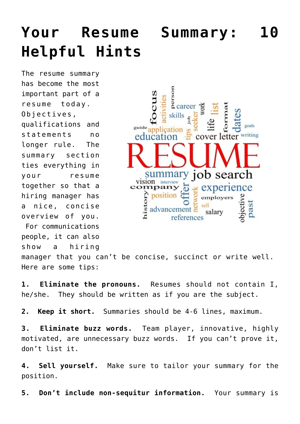## **[Your Resume Summary: 10](https://www.commpro.biz/your-resume-summary-10-helpful-hints/) [Helpful Hints](https://www.commpro.biz/your-resume-summary-10-helpful-hints/)**

The resume summary has become the most important part of a resume today. Objectives, qualifications and statements no longer rule. The summary section ties everything in your resume together so that a hiring manager has a nice, concise overview of you.

For communications

people, it can also

show a hiring

5<br>a<br>a<br>career goals guide<sub>an</sub> writing educa etter cover job search vision interview experience npany position piective employers past advancemen salary

manager that you can't be concise, succinct or write well. Here are some tips:

**1. Eliminate the pronouns.** Resumes should not contain I, he/she. They should be written as if you are the subject.

**2. Keep it short.** Summaries should be 4-6 lines, maximum.

**3. Eliminate buzz words.** Team player, innovative, highly motivated, are unnecessary buzz words. If you can't prove it, don't list it.

**4. Sell yourself.** Make sure to tailor your summary for the position.

**5. Don't include non-sequitur information.** Your summary is